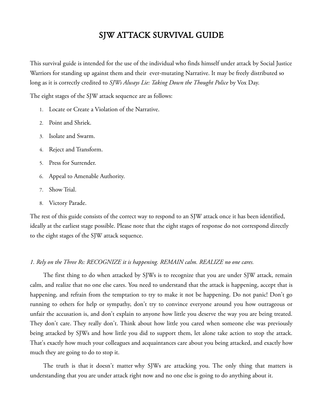# SJW ATTACK SURVIVAL GUIDE

This survival guide is intended for the use of the individual who finds himself under attack by Social Justice Warriors for standing up against them and their ever-mutating Narrative. It may be freely distributed so long as it is correctly credited to *SJWs Always Lie: Taking Down the Thought Police* by Vox Day.

The eight stages of the SJW attack sequence are as follows:

- 1. Locate or Create a Violation of the Narrative.
- 2. Point and Shriek.
- 3. Isolate and Swarm.
- 4. Reject and Transform.
- 5. Press for Surrender.
- 6. Appeal to Amenable Authority.
- 7. Show Trial.
- 8. Victory Parade.

The rest of this guide consists of the correct way to respond to an SJW attack once it has been identified, ideally at the earliest stage possible. Please note that the eight stages of response do not correspond directly to the eight stages of the SJW attack sequence.

#### *1. Rely on the Three Rs: RECOGNIZE it is happening. REMAIN calm. REALIZE no one cares.*

The first thing to do when attacked by SJWs is to recognize that you are under SJW attack, remain calm, and realize that no one else cares. You need to understand that the attack is happening, accept that is happening, and refrain from the temptation to try to make it not be happening. Do not panic! Don't go running to others for help or sympathy, don't try to convince everyone around you how outrageous or unfair the accusation is, and don't explain to anyone how little you deserve the way you are being treated. They don't care. They really don't. Think about how little you cared when someone else was previously being attacked by SJWs and how little you did to support them, let alone take action to stop the attack. That's exactly how much your colleagues and acquaintances care about you being attacked, and exactly how much they are going to do to stop it.

The truth is that it doesn't matter why SJWs are attacking you. The only thing that matters is understanding that you are under attack right now and no one else is going to do anything about it.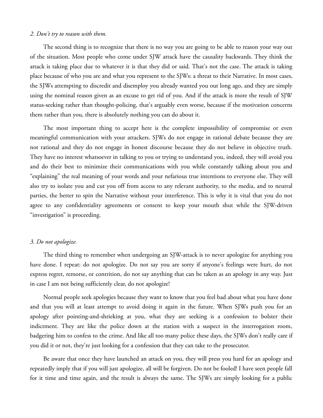## *2. Don't try to reason with them.*

The second thing is to recognize that there is no way you are going to be able to reason your way out of the situation. Most people who come under SJW attack have the causality backwards. They think the attack is taking place due to whatever it is that they did or said. That's not the case. The attack is taking place because of who you are and what you represent to the SJWs: a threat to their Narrative. In most cases, the SJWs attempting to discredit and disemploy you already wanted you out long ago, and they are simply using the nominal reason given as an excuse to get rid of you. And if the attack is more the result of SJW status-seeking rather than thought-policing, that's arguably even worse, because if the motivation concerns them rather than you, there is absolutely nothing you can do about it.

The most important thing to accept here is the complete impossibility of compromise or even meaningful communication with your attackers. SJWs do not engage in rational debate because they are not rational and they do not engage in honest discourse because they do not believe in objective truth. They have no interest whatsoever in talking to you or trying to understand you, indeed, they will avoid you and do their best to minimize their communications with you while constantly talking about you and "explaining" the real meaning of your words and your nefarious true intentions to everyone else. They will also try to isolate you and cut you off from access to any relevant authority, to the media, and to neutral parties, the better to spin the Narrative without your interference. This is why it is vital that you do not agree to any confidentiality agreements or consent to keep your mouth shut while the SJW-driven "investigation" is proceeding.

# *3. Do not apologize.*

The third thing to remember when undergoing an SJW-attack is to never apologize for anything you have done. I repeat: do not apologize. Do not say you are sorry if anyone's feelings were hurt, do not express regret, remorse, or contrition, do not say anything that can be taken as an apology in any way. Just in case I am not being sufficiently clear, do not apologize!

Normal people seek apologies because they want to know that you feel bad about what you have done and that you will at least attempt to avoid doing it again in the future. When SJWs push you for an apology after pointing-and-shrieking at you, what they are seeking is a confession to bolster their indictment. They are like the police down at the station with a suspect in the interrogation room, badgering him to confess to the crime. And like all too many police these days, the SJWs don't really care if you did it or not, they're just looking for a confession that they can take to the prosecutor.

Be aware that once they have launched an attack on you, they will press you hard for an apology and repeatedly imply that if you will just apologize, all will be forgiven. Do not be fooled! I have seen people fall for it time and time again, and the result is always the same. The SJWs are simply looking for a public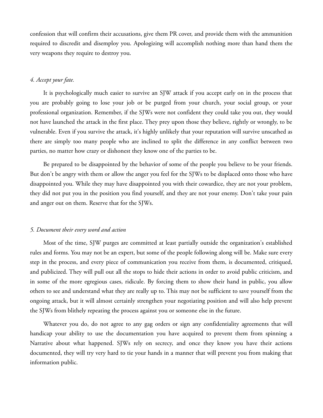confession that will confirm their accusations, give them PR cover, and provide them with the ammunition required to discredit and disemploy you. Apologizing will accomplish nothing more than hand them the very weapons they require to destroy you.

## *4. Accept your fate.*

It is psychologically much easier to survive an SJW attack if you accept early on in the process that you are probably going to lose your job or be purged from your church, your social group, or your professional organization. Remember, if the SJWs were not confident they could take you out, they would not have launched the attack in the first place. They prey upon those they believe, rightly or wrongly, to be vulnerable. Even if you survive the attack, it's highly unlikely that your reputation will survive unscathed as there are simply too many people who are inclined to split the difference in any conflict between two parties, no matter how crazy or dishonest they know one of the parties to be.

Be prepared to be disappointed by the behavior of some of the people you believe to be your friends. But don't be angry with them or allow the anger you feel for the SJWs to be displaced onto those who have disappointed you. While they may have disappointed you with their cowardice, they are not your problem, they did not put you in the position you find yourself, and they are not your enemy. Don't take your pain and anger out on them. Reserve that for the SJWs.

## *5. Document their every word and action*

Most of the time, SJW purges are committed at least partially outside the organization's established rules and forms. You may not be an expert, but some of the people following along will be. Make sure every step in the process, and every piece of communication you receive from them, is documented, critiqued, and publicized. They will pull out all the stops to hide their actions in order to avoid public criticism, and in some of the more egregious cases, ridicule. By forcing them to show their hand in public, you allow others to see and understand what they are really up to. This may not be sufficient to save yourself from the ongoing attack, but it will almost certainly strengthen your negotiating position and will also help prevent the SJWs from blithely repeating the process against you or someone else in the future.

Whatever you do, do not agree to any gag orders or sign any confidentiality agreements that will handicap your ability to use the documentation you have acquired to prevent them from spinning a Narrative about what happened. SJWs rely on secrecy, and once they know you have their actions documented, they will try very hard to tie your hands in a manner that will prevent you from making that information public.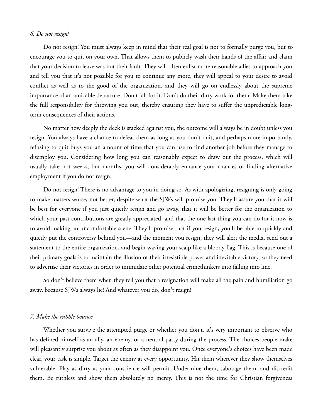## *6. Do not resign!*

Do not resign! You must always keep in mind that their real goal is not to formally purge you, but to encourage you to quit on your own. That allows them to publicly wash their hands of the affair and claim that your decision to leave was not their fault. They will often enlist more reasonable allies to approach you and tell you that it's not possible for you to continue any more, they will appeal to your desire to avoid conflict as well as to the good of the organization, and they will go on endlessly about the supreme importance of an amicable departure. Don't fall for it. Don't do their dirty work for them. Make them take the full responsibility for throwing you out, thereby ensuring they have to suffer the unpredictable longterm consequences of their actions.

No matter how deeply the deck is stacked against you, the outcome will always be in doubt unless you resign. You always have a chance to defeat them as long as you don't quit, and perhaps more importantly, refusing to quit buys you an amount of time that you can use to find another job before they manage to disemploy you. Considering how long you can reasonably expect to draw out the process, which will usually take not weeks, but months, you will considerably enhance your chances of finding alternative employment if you do not resign.

Do not resign! There is no advantage to you in doing so. As with apologizing, resigning is only going to make matters worse, not better, despite what the SJWs will promise you. They'll assure you that it will be best for everyone if you just quietly resign and go away, that it will be better for the organization to which your past contributions are greatly appreciated, and that the one last thing you can do for it now is to avoid making an uncomfortable scene. They'll promise that if you resign, you'll be able to quickly and quietly put the controversy behind you—and the moment you resign, they will alert the media, send out a statement to the entire organization, and begin waving your scalp like a bloody flag. This is because one of their primary goals is to maintain the illusion of their irresistible power and inevitable victory, so they need to advertise their victories in order to intimidate other potential crimethinkers into falling into line.

So don't believe them when they tell you that a resignation will make all the pain and humiliation go away, because SJWs always lie! And whatever you do, don't resign!

# *7. Make the rubble bounce.*

Whether you survive the attempted purge or whether you don't, it's very important to observe who has defined himself as an ally, an enemy, or a neutral party during the process. The choices people make will pleasantly surprise you about as often as they disappoint you. Once everyone's choices have been made clear, your task is simple. Target the enemy at every opportunity. Hit them wherever they show themselves vulnerable. Play as dirty as your conscience will permit. Undermine them, sabotage them, and discredit them. Be ruthless and show them absolutely no mercy. This is not the time for Christian forgiveness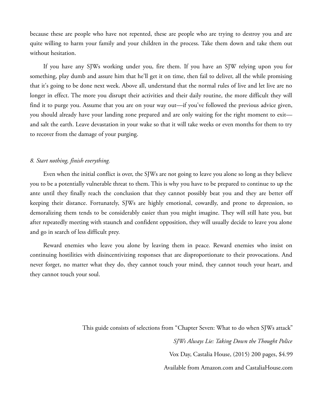because these are people who have not repented, these are people who are trying to destroy you and are quite willing to harm your family and your children in the process. Take them down and take them out without hesitation.

If you have any SJWs working under you, fire them. If you have an SJW relying upon you for something, play dumb and assure him that he'll get it on time, then fail to deliver, all the while promising that it's going to be done next week. Above all, understand that the normal rules of live and let live are no longer in effect. The more you disrupt their activities and their daily routine, the more difficult they will find it to purge you. Assume that you are on your way out—if you've followed the previous advice given, you should already have your landing zone prepared and are only waiting for the right moment to exit and salt the earth. Leave devastation in your wake so that it will take weeks or even months for them to try to recover from the damage of your purging.

# *8. Start nothing, finish everything.*

Even when the initial conflict is over, the SJWs are not going to leave you alone so long as they believe you to be a potentially vulnerable threat to them. This is why you have to be prepared to continue to up the ante until they finally reach the conclusion that they cannot possibly beat you and they are better off keeping their distance. Fortunately, SJWs are highly emotional, cowardly, and prone to depression, so demoralizing them tends to be considerably easier than you might imagine. They will still hate you, but after repeatedly meeting with staunch and confident opposition, they will usually decide to leave you alone and go in search of less difficult prey.

Reward enemies who leave you alone by leaving them in peace. Reward enemies who insist on continuing hostilities with disincentivizing responses that are disproportionate to their provocations. And never forget, no matter what they do, they cannot touch your mind, they cannot touch your heart, and they cannot touch your soul.

This guide consists of selections from "Chapter Seven: What to do when SJWs attack"

*SJWs Always Lie: Taking Down the Thought Police*

Vox Day, Castalia House, (2015) 200 pages, \$4.99

Available from Amazon.com and CastaliaHouse.com